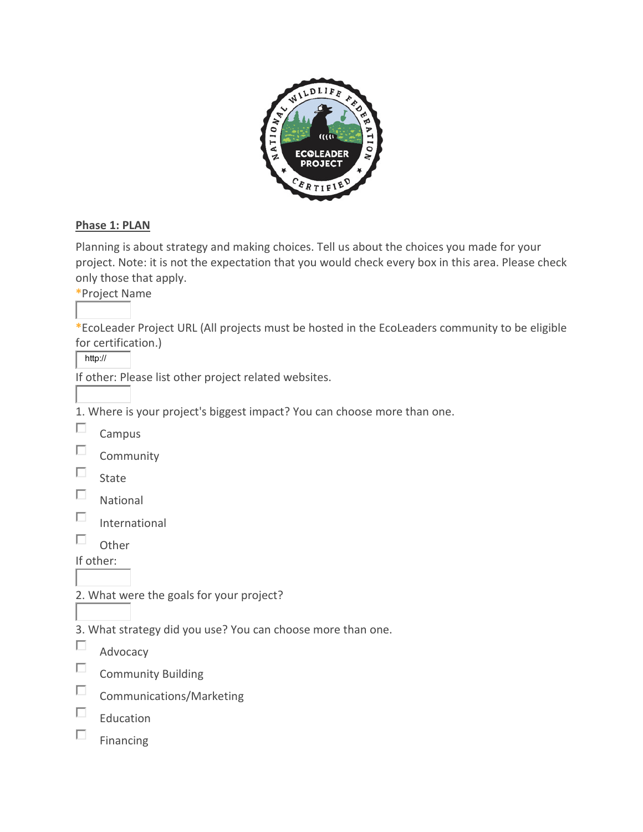

## **Phase 1: PLAN**

Planning is about strategy and making choices. Tell us about the choices you made for your project. Note: it is not the expectation that you would check every box in this area. Please check only those that apply.

**\***Project Name

**\***EcoLeader Project URL (All projects must be hosted in the EcoLeaders community to be eligible for certification.)

http://

If other: Please list other project related websites.

1. Where is your project's biggest impact? You can choose more than one.

П Campus

 $\Box$ Community

- $\Box$ State
- П. National
- $\Box$ International
- $\Box$  Other

If other:

- 2. What were the goals for your project?
- 3. What strategy did you use? You can choose more than one.
- П Advocacy
- $\Box$ Community Building
- $\Box$ Communications/Marketing
- $\Box$ Education
- $\Box$ Financing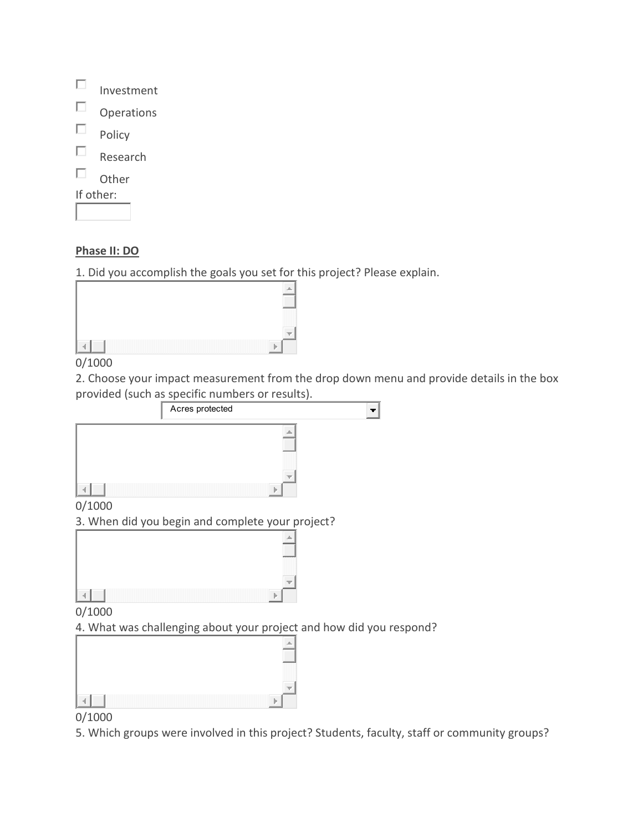|           | Investment        |
|-----------|-------------------|
|           | <b>Operations</b> |
|           | Policy            |
|           | Research          |
|           | Other             |
| If other: |                   |
|           |                   |

### **Phase II: DO**

L

1. Did you accomplish the goals you set for this project? Please explain.

| . |
|---|
|   |

### 0/1000

2. Choose your impact measurement from the drop down menu and provide details in the box provided (such as specific numbers or results).



4. What was challenging about your project and how did you respond?

| 200000000                                                 |
|-----------------------------------------------------------|
| man ma<br><b><i>Programme</i></b><br>a a shekara<br>----- |
|                                                           |

## 0/1000

5. Which groups were involved in this project? Students, faculty, staff or community groups?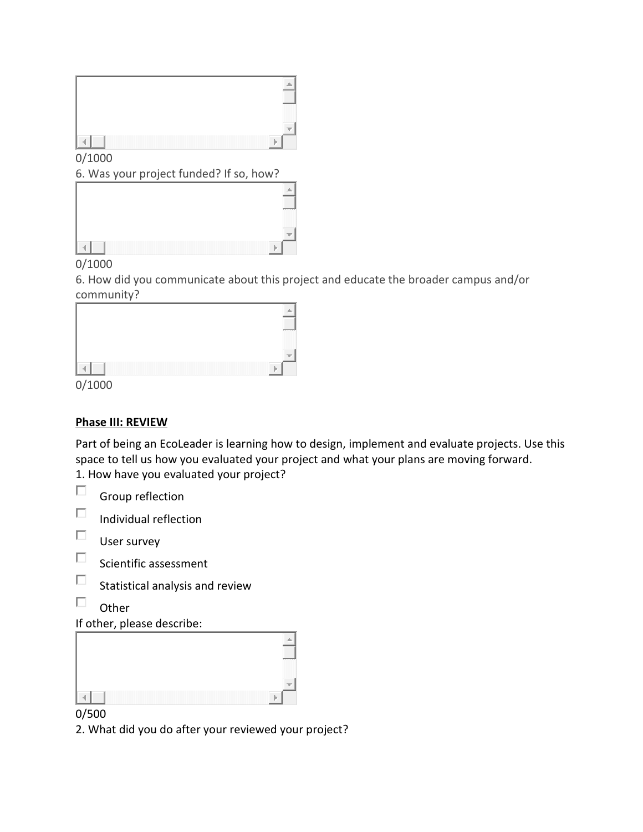| $\overline{\phantom{1}}$<br>mm m |
|----------------------------------|
|                                  |

0/1000

6. Was your project funded? If so, how?

|  | m m |
|--|-----|
|  | __  |
|  |     |
|  |     |

# 0/1000

6. How did you communicate about this project and educate the broader campus and/or community?

|  | mmmm<br>mmmm<br>m mark<br>mmmm<br>mmmm |
|--|----------------------------------------|
|  | <b><i>REPORT FOR THE</i></b>           |
|  |                                        |

0/1000

# **Phase III: REVIEW**

Part of being an EcoLeader is learning how to design, implement and evaluate projects. Use this space to tell us how you evaluated your project and what your plans are moving forward. 1. How have you evaluated your project?

|  | Group reflection |
|--|------------------|
|--|------------------|

- П Individual reflection
- $\Box$ User survey
- $\square$  Scientific assessment
- $\Box$ Statistical analysis and review
- $\Box$ **Other**

# If other, please describe:



## 0/500

2. What did you do after your reviewed your project?